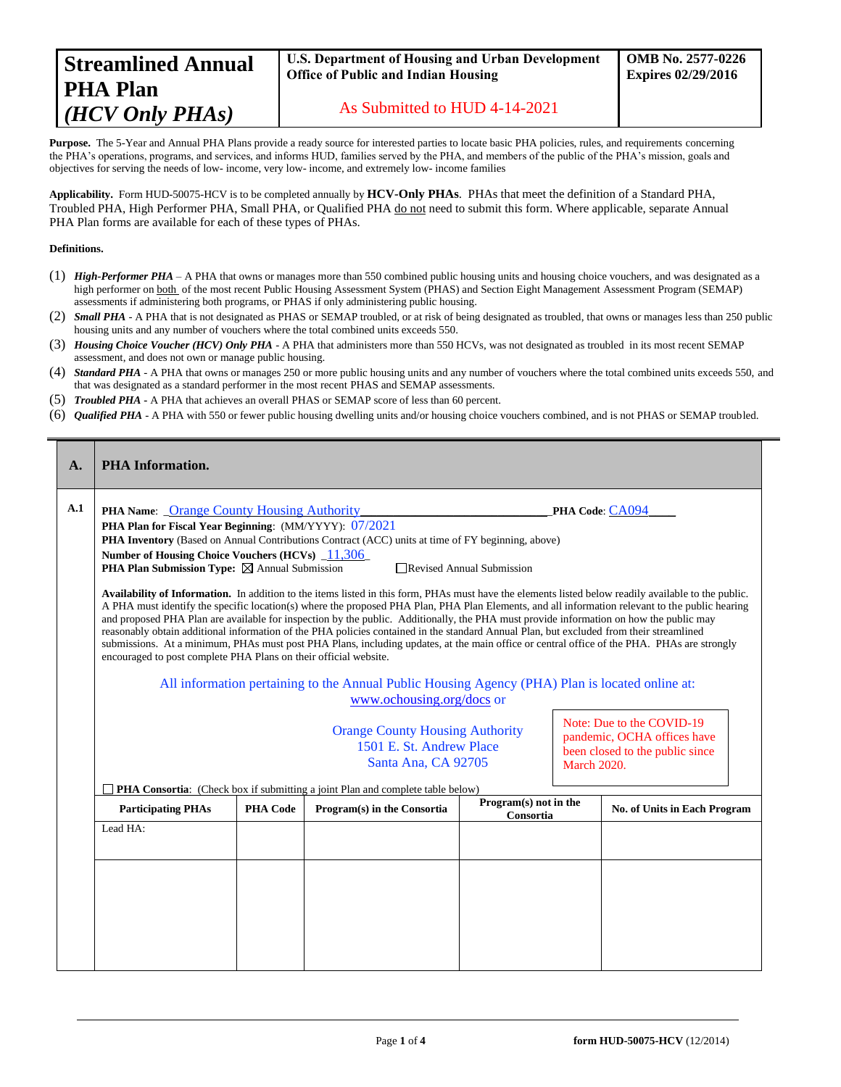| <b>Streamlined Annual</b> |
|---------------------------|
| <b>PHA Plan</b>           |
| (HCV Only PHAs)           |

### **U.S. Department of Housing and Urban Development Office of Public and Indian Housing**

As Submitted to HUD 4-14-2021

Purpose. The 5-Year and Annual PHA Plans provide a ready source for interested parties to locate basic PHA policies, rules, and requirements concerning the PHA's operations, programs, and services, and informs HUD, families served by the PHA, and members of the public of the PHA's mission, goals and objectives for serving the needs of low- income, very low- income, and extremely low- income families

**Applicability.** Form HUD-50075-HCV is to be completed annually by **HCV-Only PHAs**. PHAs that meet the definition of a Standard PHA, Troubled PHA, High Performer PHA, Small PHA, or Qualified PHA do not need to submit this form. Where applicable, separate Annual PHA Plan forms are available for each of these types of PHAs.

#### **Definitions.**

- (1) *High-Performer PHA* A PHA that owns or manages more than 550 combined public housing units and housing choice vouchers, and was designated as a high performer on both of the most recent Public Housing Assessment System (PHAS) and Section Eight Management Assessment Program (SEMAP) assessments if administering both programs, or PHAS if only administering public housing.
- (2) *Small PHA* A PHA that is not designated as PHAS or SEMAP troubled, or at risk of being designated as troubled, that owns or manages less than 250 public housing units and any number of vouchers where the total combined units exceeds 550.
- (3) *Housing Choice Voucher (HCV) Only PHA* A PHA that administers more than 550 HCVs, was not designated as troubled in its most recent SEMAP assessment, and does not own or manage public housing.
- (4) *Standard PHA* A PHA that owns or manages 250 or more public housing units and any number of vouchers where the total combined units exceeds 550, and that was designated as a standard performer in the most recent PHAS and SEMAP assessments.
- (5) *Troubled PHA* **-** A PHA that achieves an overall PHAS or SEMAP score of less than 60 percent.
- (6) *Qualified PHA* A PHA with 550 or fewer public housing dwelling units and/or housing choice vouchers combined, and is not PHAS or SEMAP troubled.

| A.                                                                                                                                                                                                                     | <b>PHA</b> Information.                                                                                                                                                                                                                                                                                                                                                                                                                                                                                                                                                                                                                                                                                                                                                                                                                                                                                                                                                                                                                                                                                                                                                                                       |  |  |  |                              |  |  |  |  |
|------------------------------------------------------------------------------------------------------------------------------------------------------------------------------------------------------------------------|---------------------------------------------------------------------------------------------------------------------------------------------------------------------------------------------------------------------------------------------------------------------------------------------------------------------------------------------------------------------------------------------------------------------------------------------------------------------------------------------------------------------------------------------------------------------------------------------------------------------------------------------------------------------------------------------------------------------------------------------------------------------------------------------------------------------------------------------------------------------------------------------------------------------------------------------------------------------------------------------------------------------------------------------------------------------------------------------------------------------------------------------------------------------------------------------------------------|--|--|--|------------------------------|--|--|--|--|
| A.1                                                                                                                                                                                                                    | PHA Name: _Orange County Housing Authority<br>PHA Code: CA094<br><b>PHA Plan for Fiscal Year Beginning:</b> (MM/YYYY): 07/2021<br>PHA Inventory (Based on Annual Contributions Contract (ACC) units at time of FY beginning, above)<br>Number of Housing Choice Vouchers (HCVs) $\_11,306$<br><b>PHA Plan Submission Type:</b> $\boxtimes$ Annual Submission<br>□ Revised Annual Submission<br>Availability of Information. In addition to the items listed in this form, PHAs must have the elements listed below readily available to the public.<br>A PHA must identify the specific location(s) where the proposed PHA Plan, PHA Plan Elements, and all information relevant to the public hearing<br>and proposed PHA Plan are available for inspection by the public. Additionally, the PHA must provide information on how the public may<br>reasonably obtain additional information of the PHA policies contained in the standard Annual Plan, but excluded from their streamlined<br>submissions. At a minimum, PHAs must post PHA Plans, including updates, at the main office or central office of the PHA. PHAs are strongly<br>encouraged to post complete PHA Plans on their official website. |  |  |  |                              |  |  |  |  |
|                                                                                                                                                                                                                        | All information pertaining to the Annual Public Housing Agency (PHA) Plan is located online at:<br>www.ochousing.org/docs or<br>Note: Due to the COVID-19<br><b>Orange County Housing Authority</b><br>pandemic, OCHA offices have<br>1501 E. St. Andrew Place<br>been closed to the public since<br>Santa Ana, CA 92705<br><b>March 2020.</b>                                                                                                                                                                                                                                                                                                                                                                                                                                                                                                                                                                                                                                                                                                                                                                                                                                                                |  |  |  |                              |  |  |  |  |
| <b>PHA Consortia:</b> (Check box if submitting a joint Plan and complete table below)<br>Program(s) not in the<br><b>PHA Code</b><br><b>Participating PHAs</b><br>Program(s) in the Consortia<br>Consortia<br>Lead HA: |                                                                                                                                                                                                                                                                                                                                                                                                                                                                                                                                                                                                                                                                                                                                                                                                                                                                                                                                                                                                                                                                                                                                                                                                               |  |  |  | No. of Units in Each Program |  |  |  |  |
|                                                                                                                                                                                                                        |                                                                                                                                                                                                                                                                                                                                                                                                                                                                                                                                                                                                                                                                                                                                                                                                                                                                                                                                                                                                                                                                                                                                                                                                               |  |  |  |                              |  |  |  |  |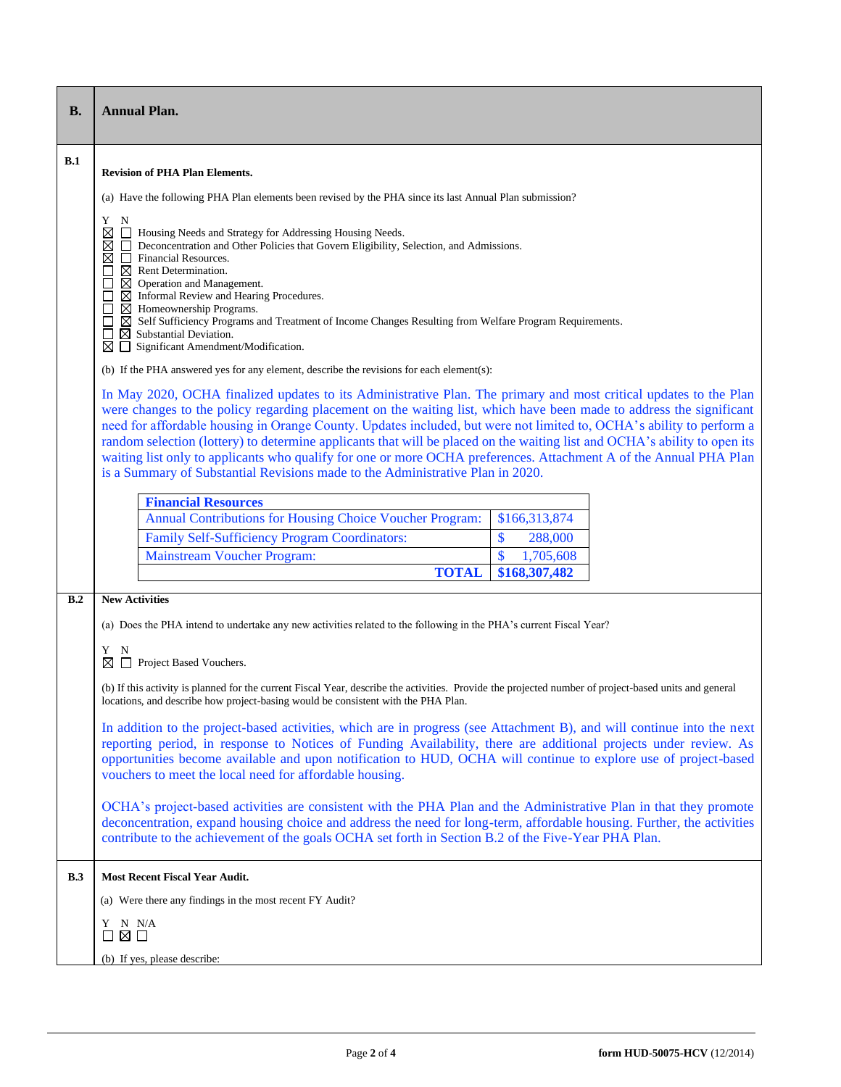| <b>B.</b> | <b>Annual Plan.</b>                                                                                                                                                                                                                                                                                                                                                                                                                                                                                                                                                                                                                                                                                  |                 |  |  |  |  |  |  |
|-----------|------------------------------------------------------------------------------------------------------------------------------------------------------------------------------------------------------------------------------------------------------------------------------------------------------------------------------------------------------------------------------------------------------------------------------------------------------------------------------------------------------------------------------------------------------------------------------------------------------------------------------------------------------------------------------------------------------|-----------------|--|--|--|--|--|--|
| B.1       | <b>Revision of PHA Plan Elements.</b>                                                                                                                                                                                                                                                                                                                                                                                                                                                                                                                                                                                                                                                                |                 |  |  |  |  |  |  |
|           | (a) Have the following PHA Plan elements been revised by the PHA since its last Annual Plan submission?                                                                                                                                                                                                                                                                                                                                                                                                                                                                                                                                                                                              |                 |  |  |  |  |  |  |
|           | Y<br>N<br>⊠<br>Housing Needs and Strategy for Addressing Housing Needs.<br>Deconcentration and Other Policies that Govern Eligibility, Selection, and Admissions.<br>Financial Resources.<br>$\boxtimes$<br>$\boxtimes$ Rent Determination.<br>⊠<br>Operation and Management.<br>$\boxtimes$ Informal Review and Hearing Procedures.<br>$\boxtimes$ Homeownership Programs.<br>$\boxtimes$ Self Sufficiency Programs and Treatment of Income Changes Resulting from Welfare Program Requirements.                                                                                                                                                                                                    |                 |  |  |  |  |  |  |
|           | $\boxtimes$ Substantial Deviation.<br>Significant Amendment/Modification.<br>⊠                                                                                                                                                                                                                                                                                                                                                                                                                                                                                                                                                                                                                       |                 |  |  |  |  |  |  |
|           | (b) If the PHA answered yes for any element, describe the revisions for each element(s):                                                                                                                                                                                                                                                                                                                                                                                                                                                                                                                                                                                                             |                 |  |  |  |  |  |  |
|           | In May 2020, OCHA finalized updates to its Administrative Plan. The primary and most critical updates to the Plan<br>were changes to the policy regarding placement on the waiting list, which have been made to address the significant<br>need for affordable housing in Orange County. Updates included, but were not limited to, OCHA's ability to perform a<br>random selection (lottery) to determine applicants that will be placed on the waiting list and OCHA's ability to open its<br>waiting list only to applicants who qualify for one or more OCHA preferences. Attachment A of the Annual PHA Plan<br>is a Summary of Substantial Revisions made to the Administrative Plan in 2020. |                 |  |  |  |  |  |  |
|           | <b>Financial Resources</b>                                                                                                                                                                                                                                                                                                                                                                                                                                                                                                                                                                                                                                                                           |                 |  |  |  |  |  |  |
|           | Annual Contributions for Housing Choice Voucher Program:                                                                                                                                                                                                                                                                                                                                                                                                                                                                                                                                                                                                                                             | \$166,313,874   |  |  |  |  |  |  |
|           | Family Self-Sufficiency Program Coordinators:                                                                                                                                                                                                                                                                                                                                                                                                                                                                                                                                                                                                                                                        | \$<br>288,000   |  |  |  |  |  |  |
|           | <b>Mainstream Voucher Program:</b>                                                                                                                                                                                                                                                                                                                                                                                                                                                                                                                                                                                                                                                                   | \$<br>1,705,608 |  |  |  |  |  |  |
|           | <b>TOTAL</b>                                                                                                                                                                                                                                                                                                                                                                                                                                                                                                                                                                                                                                                                                         | \$168,307,482   |  |  |  |  |  |  |
| B.2       | <b>New Activities</b>                                                                                                                                                                                                                                                                                                                                                                                                                                                                                                                                                                                                                                                                                |                 |  |  |  |  |  |  |
|           | (a) Does the PHA intend to undertake any new activities related to the following in the PHA's current Fiscal Year?                                                                                                                                                                                                                                                                                                                                                                                                                                                                                                                                                                                   |                 |  |  |  |  |  |  |
|           | Y<br>N<br>Project Based Vouchers.<br>⊠                                                                                                                                                                                                                                                                                                                                                                                                                                                                                                                                                                                                                                                               |                 |  |  |  |  |  |  |
|           | (b) If this activity is planned for the current Fiscal Year, describe the activities. Provide the projected number of project-based units and general<br>locations, and describe how project-basing would be consistent with the PHA Plan.                                                                                                                                                                                                                                                                                                                                                                                                                                                           |                 |  |  |  |  |  |  |
|           | In addition to the project-based activities, which are in progress (see Attachment B), and will continue into the next<br>reporting period, in response to Notices of Funding Availability, there are additional projects under review. As<br>opportunities become available and upon notification to HUD, OCHA will continue to explore use of project-based<br>vouchers to meet the local need for affordable housing.                                                                                                                                                                                                                                                                             |                 |  |  |  |  |  |  |
|           | OCHA's project-based activities are consistent with the PHA Plan and the Administrative Plan in that they promote<br>deconcentration, expand housing choice and address the need for long-term, affordable housing. Further, the activities<br>contribute to the achievement of the goals OCHA set forth in Section B.2 of the Five-Year PHA Plan.                                                                                                                                                                                                                                                                                                                                                   |                 |  |  |  |  |  |  |
| B.3       | <b>Most Recent Fiscal Year Audit.</b>                                                                                                                                                                                                                                                                                                                                                                                                                                                                                                                                                                                                                                                                |                 |  |  |  |  |  |  |
|           | (a) Were there any findings in the most recent FY Audit?                                                                                                                                                                                                                                                                                                                                                                                                                                                                                                                                                                                                                                             |                 |  |  |  |  |  |  |
|           | Y N N/A<br>□⊠□                                                                                                                                                                                                                                                                                                                                                                                                                                                                                                                                                                                                                                                                                       |                 |  |  |  |  |  |  |
|           | (b) If yes, please describe:                                                                                                                                                                                                                                                                                                                                                                                                                                                                                                                                                                                                                                                                         |                 |  |  |  |  |  |  |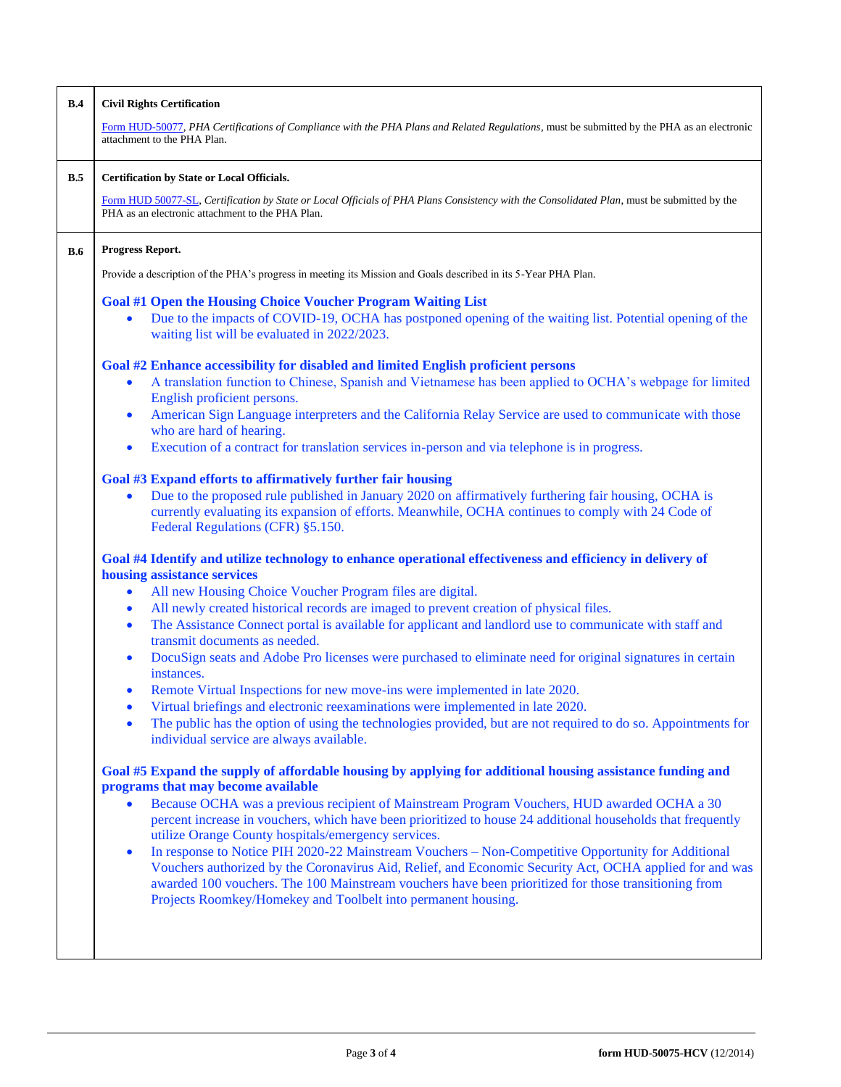| B.4        | <b>Civil Rights Certification</b>                                                                                                                                                                                                                                                                                                                                                                                                                                                                          |  |  |  |  |  |  |  |  |
|------------|------------------------------------------------------------------------------------------------------------------------------------------------------------------------------------------------------------------------------------------------------------------------------------------------------------------------------------------------------------------------------------------------------------------------------------------------------------------------------------------------------------|--|--|--|--|--|--|--|--|
|            | Form HUD-50077, PHA Certifications of Compliance with the PHA Plans and Related Regulations, must be submitted by the PHA as an electronic<br>attachment to the PHA Plan.                                                                                                                                                                                                                                                                                                                                  |  |  |  |  |  |  |  |  |
| B.5        | Certification by State or Local Officials.                                                                                                                                                                                                                                                                                                                                                                                                                                                                 |  |  |  |  |  |  |  |  |
|            | Form HUD 50077-SL, Certification by State or Local Officials of PHA Plans Consistency with the Consolidated Plan, must be submitted by the<br>PHA as an electronic attachment to the PHA Plan.                                                                                                                                                                                                                                                                                                             |  |  |  |  |  |  |  |  |
| <b>B.6</b> | Progress Report.                                                                                                                                                                                                                                                                                                                                                                                                                                                                                           |  |  |  |  |  |  |  |  |
|            | Provide a description of the PHA's progress in meeting its Mission and Goals described in its 5-Year PHA Plan.                                                                                                                                                                                                                                                                                                                                                                                             |  |  |  |  |  |  |  |  |
|            | <b>Goal #1 Open the Housing Choice Voucher Program Waiting List</b><br>Due to the impacts of COVID-19, OCHA has postponed opening of the waiting list. Potential opening of the<br>waiting list will be evaluated in 2022/2023.                                                                                                                                                                                                                                                                            |  |  |  |  |  |  |  |  |
|            | Goal #2 Enhance accessibility for disabled and limited English proficient persons<br>A translation function to Chinese, Spanish and Vietnamese has been applied to OCHA's webpage for limited<br>$\bullet$<br>English proficient persons.<br>American Sign Language interpreters and the California Relay Service are used to communicate with those<br>$\bullet$<br>who are hard of hearing.<br>Execution of a contract for translation services in-person and via telephone is in progress.<br>$\bullet$ |  |  |  |  |  |  |  |  |
|            | Goal #3 Expand efforts to affirmatively further fair housing<br>Due to the proposed rule published in January 2020 on affirmatively furthering fair housing, OCHA is<br>$\bullet$<br>currently evaluating its expansion of efforts. Meanwhile, OCHA continues to comply with 24 Code of<br>Federal Regulations (CFR) §5.150.                                                                                                                                                                               |  |  |  |  |  |  |  |  |
|            | Goal #4 Identify and utilize technology to enhance operational effectiveness and efficiency in delivery of<br>housing assistance services<br>All new Housing Choice Voucher Program files are digital.<br>$\bullet$                                                                                                                                                                                                                                                                                        |  |  |  |  |  |  |  |  |
|            | All newly created historical records are imaged to prevent creation of physical files.<br>$\bullet$<br>The Assistance Connect portal is available for applicant and landlord use to communicate with staff and<br>$\bullet$<br>transmit documents as needed.                                                                                                                                                                                                                                               |  |  |  |  |  |  |  |  |
|            | DocuSign seats and Adobe Pro licenses were purchased to eliminate need for original signatures in certain<br>$\bullet$<br>instances.                                                                                                                                                                                                                                                                                                                                                                       |  |  |  |  |  |  |  |  |
|            | Remote Virtual Inspections for new move-ins were implemented in late 2020.<br>$\bullet$<br>Virtual briefings and electronic reexaminations were implemented in late 2020.                                                                                                                                                                                                                                                                                                                                  |  |  |  |  |  |  |  |  |
|            | The public has the option of using the technologies provided, but are not required to do so. Appointments for<br>$\bullet$<br>individual service are always available.                                                                                                                                                                                                                                                                                                                                     |  |  |  |  |  |  |  |  |
|            | Goal #5 Expand the supply of affordable housing by applying for additional housing assistance funding and<br>programs that may become available                                                                                                                                                                                                                                                                                                                                                            |  |  |  |  |  |  |  |  |
|            | Because OCHA was a previous recipient of Mainstream Program Vouchers, HUD awarded OCHA a 30<br>$\bullet$<br>percent increase in vouchers, which have been prioritized to house 24 additional households that frequently<br>utilize Orange County hospitals/emergency services.                                                                                                                                                                                                                             |  |  |  |  |  |  |  |  |
|            | In response to Notice PIH 2020-22 Mainstream Vouchers - Non-Competitive Opportunity for Additional<br>$\bullet$<br>Vouchers authorized by the Coronavirus Aid, Relief, and Economic Security Act, OCHA applied for and was<br>awarded 100 vouchers. The 100 Mainstream vouchers have been prioritized for those transitioning from<br>Projects Roomkey/Homekey and Toolbelt into permanent housing.                                                                                                        |  |  |  |  |  |  |  |  |
|            |                                                                                                                                                                                                                                                                                                                                                                                                                                                                                                            |  |  |  |  |  |  |  |  |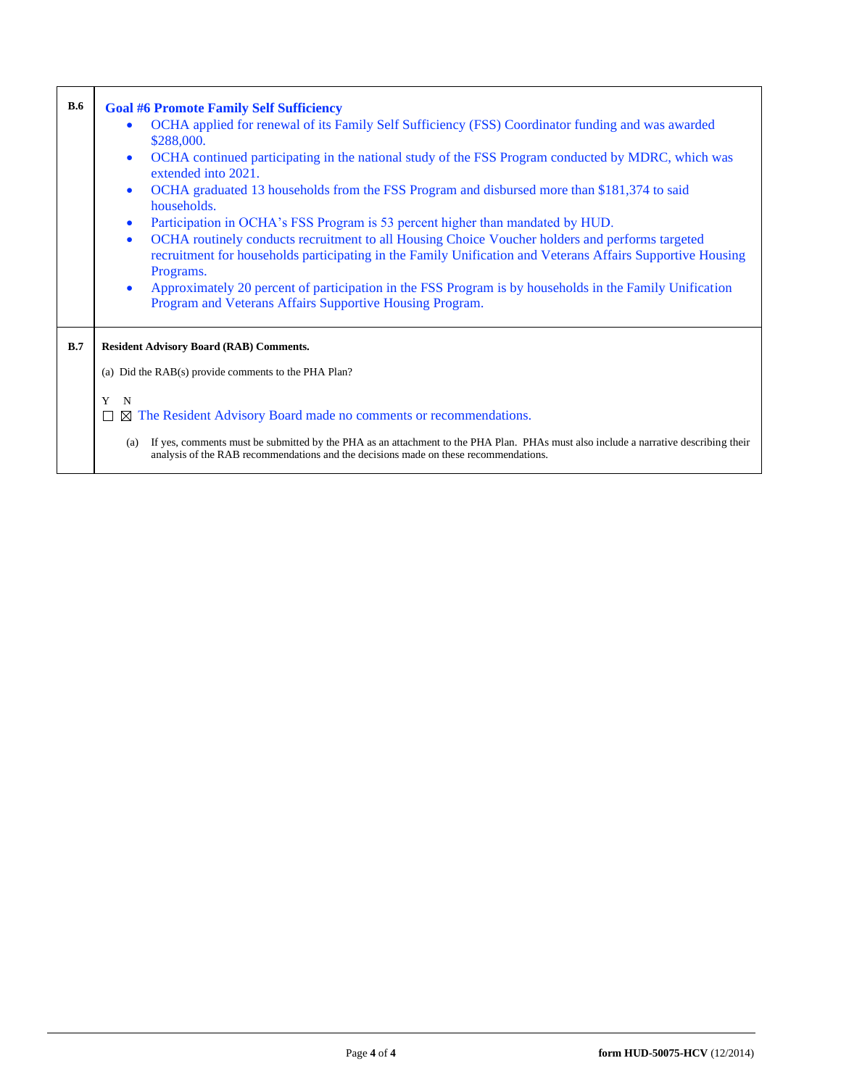| <b>B.6</b> | <b>Goal #6 Promote Family Self Sufficiency</b>                                                                                                                                                                                          |
|------------|-----------------------------------------------------------------------------------------------------------------------------------------------------------------------------------------------------------------------------------------|
|            | OCHA applied for renewal of its Family Self Sufficiency (FSS) Coordinator funding and was awarded<br>\$288,000.                                                                                                                         |
|            | OCHA continued participating in the national study of the FSS Program conducted by MDRC, which was<br>$\bullet$<br>extended into 2021.                                                                                                  |
|            | OCHA graduated 13 households from the FSS Program and disbursed more than \$181,374 to said<br>$\bullet$<br>households.                                                                                                                 |
|            | Participation in OCHA's FSS Program is 53 percent higher than mandated by HUD.<br>$\bullet$                                                                                                                                             |
|            | OCHA routinely conducts recruitment to all Housing Choice Voucher holders and performs targeted<br>$\bullet$<br>recruitment for households participating in the Family Unification and Veterans Affairs Supportive Housing<br>Programs. |
|            | Approximately 20 percent of participation in the FSS Program is by households in the Family Unification<br>$\bullet$<br>Program and Veterans Affairs Supportive Housing Program.                                                        |
| B.7        | <b>Resident Advisory Board (RAB) Comments.</b>                                                                                                                                                                                          |
|            | (a) Did the RAB(s) provide comments to the PHA Plan?                                                                                                                                                                                    |
|            | Y<br>N                                                                                                                                                                                                                                  |
|            | $\boxtimes$ The Resident Advisory Board made no comments or recommendations.<br>$\Box$                                                                                                                                                  |
|            | If yes, comments must be submitted by the PHA as an attachment to the PHA Plan. PHAs must also include a narrative describing their<br>(a)<br>analysis of the RAB recommendations and the decisions made on these recommendations.      |

r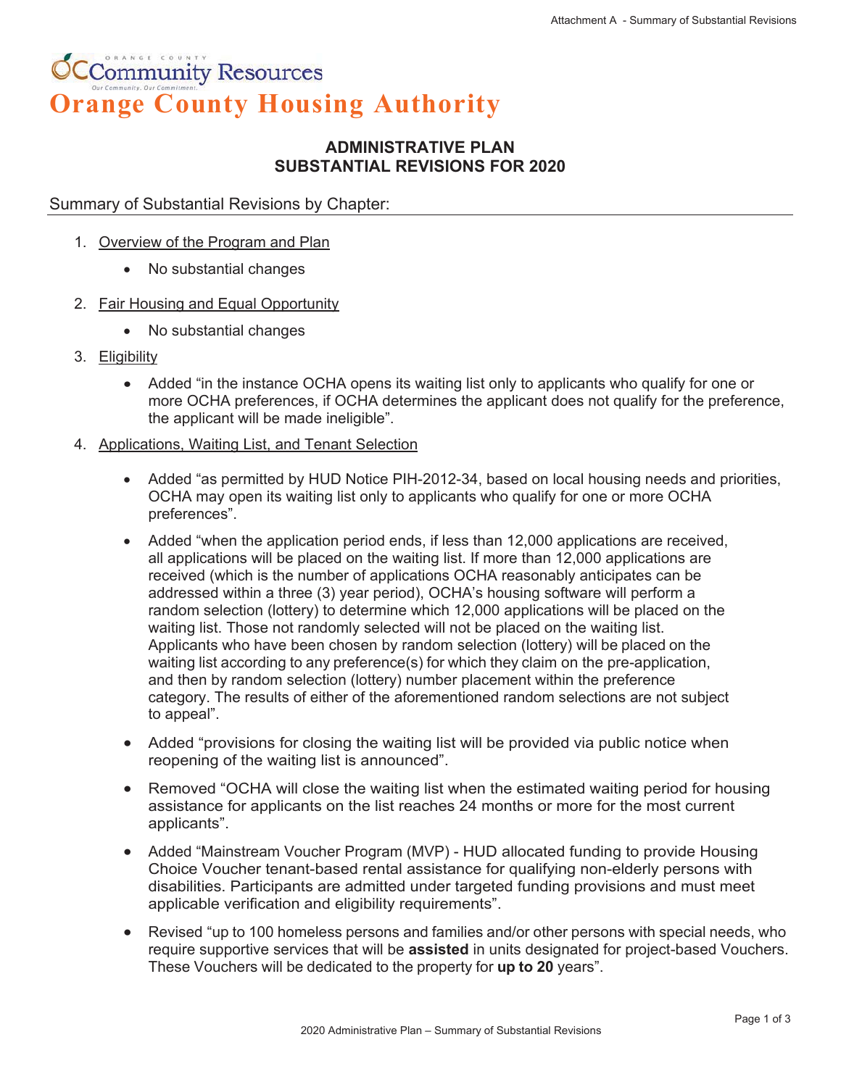# **CCommunity Resources Orange County Housing Authority**

# **ADMINISTRATIVE PLAN SUBSTANTIAL REVISIONS FOR 2020**

## Summary of Substantial Revisions by Chapter:

- 1. Overview of the Program and Plan
	- No substantial changes
- 2. Fair Housing and Equal Opportunity
	- No substantial changes
- 3. Eligibility
	- Added "in the instance OCHA opens its waiting list only to applicants who qualify for one or more OCHA preferences, if OCHA determines the applicant does not qualify for the preference, the applicant will be made ineligible".
- 4. Applications, Waiting List, and Tenant Selection
	- Added "as permitted by HUD Notice PIH-2012-34, based on local housing needs and priorities, OCHA may open its waiting list only to applicants who qualify for one or more OCHA preferences".
	- $\bullet$  Added "when the application period ends, if less than 12,000 applications are received, all applications will be placed on the waiting list. If more than 12,000 applications are received (which is the number of applications OCHA reasonably anticipates can be addressed within a three (3) year period), OCHA's housing software will perform a random selection (lottery) to determine which 12,000 applications will be placed on the waiting list. Those not randomly selected will not be placed on the waiting list. Applicants who have been chosen by random selection (lottery) will be placed on the waiting list according to any preference(s) for which they claim on the pre-application, and then by random selection (lottery) number placement within the preference category. The results of either of the aforementioned random selections are not subject to appeal".
	- Added "provisions for closing the waiting list will be provided via public notice when reopening of the waiting list is announced".
	- Removed "OCHA will close the waiting list when the estimated waiting period for housing assistance for applicants on the list reaches 24 months or more for the most current applicants".
	- Added "Mainstream Voucher Program (MVP) HUD allocated funding to provide Housing Choice Voucher tenant-based rental assistance for qualifying non-elderly persons with disabilities. Participants are admitted under targeted funding provisions and must meet applicable verification and eligibility requirements".
	- Revised "up to 100 homeless persons and families and/or other persons with special needs, who require supportive services that will be **assisted** in units designated for project-based Vouchers. These Vouchers will be dedicated to the property for **up to 20** years".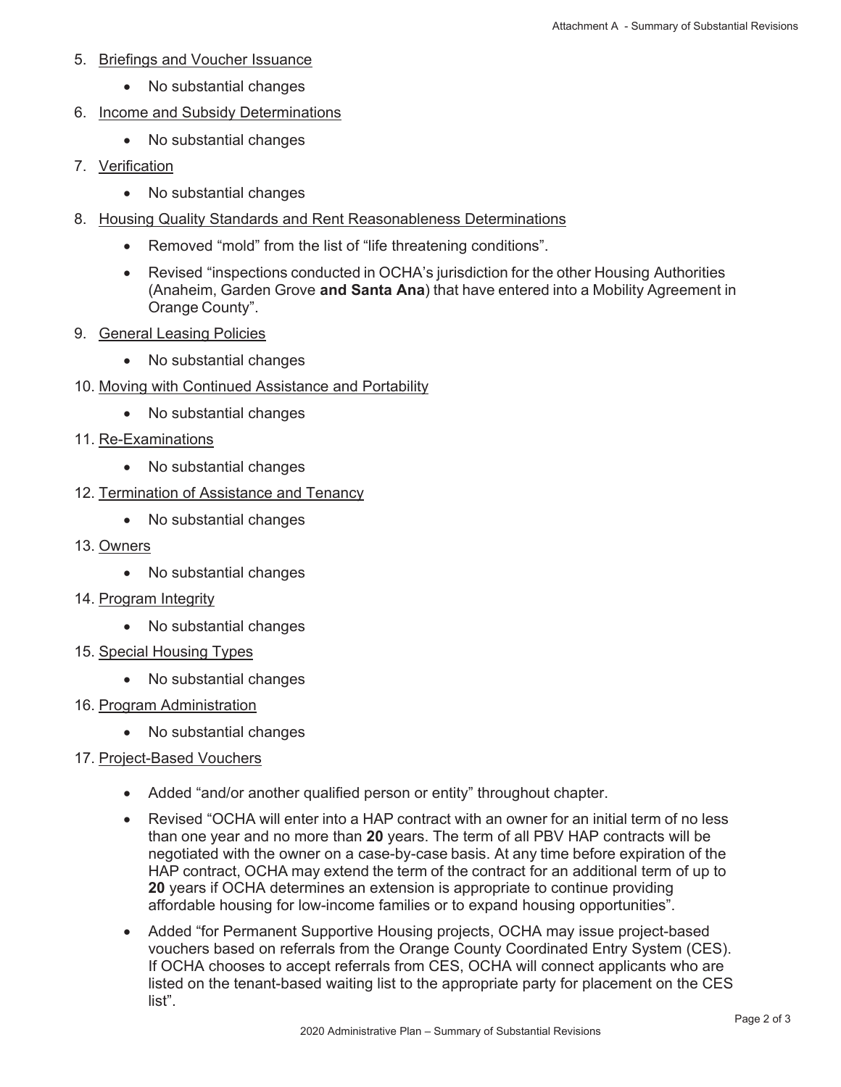- 5. Briefings and Voucher Issuance
	- No substantial changes
- 6. Income and Subsidy Determinations
	- No substantial changes
- 7. Verification
	- No substantial changes
- 8. Housing Quality Standards and Rent Reasonableness Determinations
	- Removed "mold" from the list of "life threatening conditions".
	- Revised "inspections conducted in OCHA's jurisdiction for the other Housing Authorities (Anaheim, Garden Grove **and Santa Ana**) that have entered into a Mobility Agreement in Orange County".
- 9. General Leasing Policies
	- No substantial changes
- 10. Moving with Continued Assistance and Portability
	- No substantial changes
- 11. Re-Examinations
	- No substantial changes
- 12. Termination of Assistance and Tenancy
	- No substantial changes
- 13. Owners
	- No substantial changes
- 14. Program Integrity
	- No substantial changes
- 15. Special Housing Types
	- No substantial changes
- 16. Program Administration
	- No substantial changes
- 17. Project-Based Vouchers
	- Added "and/or another qualified person or entity" throughout chapter.
	- Revised "OCHA will enter into a HAP contract with an owner for an initial term of no less than one year and no more than **20** years. The term of all PBV HAP contracts will be negotiated with the owner on a case-by-case basis. At any time before expiration of the HAP contract, OCHA may extend the term of the contract for an additional term of up to **20** years if OCHA determines an extension is appropriate to continue providing affordable housing for low-income families or to expand housing opportunities".
	- Added "for Permanent Supportive Housing projects, OCHA may issue project-based vouchers based on referrals from the Orange County Coordinated Entry System (CES). If OCHA chooses to accept referrals from CES, OCHA will connect applicants who are listed on the tenant-based waiting list to the appropriate party for placement on the CES list".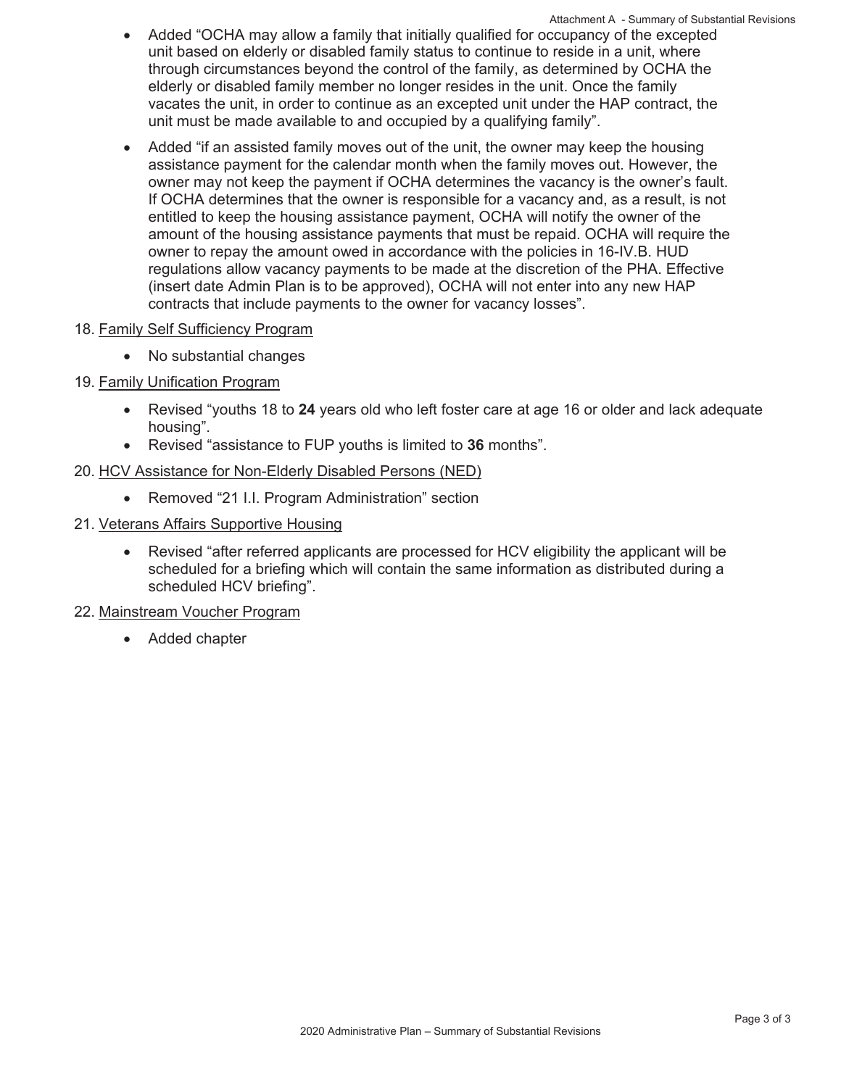- unit based on elderly or disabled family status to continue to reside in a unit, where through circumstances beyond the control of the family, as determined by OCHA the elderly or disabled family member no longer resides in the unit. Once the family vacates the unit, in order to continue as an excepted unit under the HAP contract, the unit must be made available to and occupied by a qualifying family". Attachment A - Summary of Substantial Revisions Added "OCHA may allow a family that initially qualified for occupancy of the excepted
- Added "if an assisted family moves out of the unit, the owner may keep the housing assistance payment for the calendar month when the family moves out. However, the owner may not keep the payment if OCHA determines the vacancy is the owner's fault. If OCHA determines that the owner is responsible for a vacancy and, as a result, is not entitled to keep the housing assistance payment, OCHA will notify the owner of the amount of the housing assistance payments that must be repaid. OCHA will require the owner to repay the amount owed in accordance with the policies in 16-IV.B. HUD regulations allow vacancy payments to be made at the discretion of the PHA. Effective (insert date Admin Plan is to be approved), OCHA will not enter into any new HAP contracts that include payments to the owner for vacancy losses".
- 18. Family Self Sufficiency Program
	- No substantial changes
- 19. Family Unification Program
	- Revised "youths 18 to 24 years old who left foster care at age 16 or older and lack adequate housing".
	- x Revised "assistance to FUP youths is limited to **36** months".

## 20. HCV Assistance for Non-Elderly Disabled Persons (NED)

- Removed "21 I.I. Program Administration" section
- 21. Veterans Affairs Supportive Housing
	- Revised "after referred applicants are processed for HCV eligibility the applicant will be scheduled for a briefing which will contain the same information as distributed during a scheduled HCV briefing".
- 22. Mainstream Voucher Program
	- Added chapter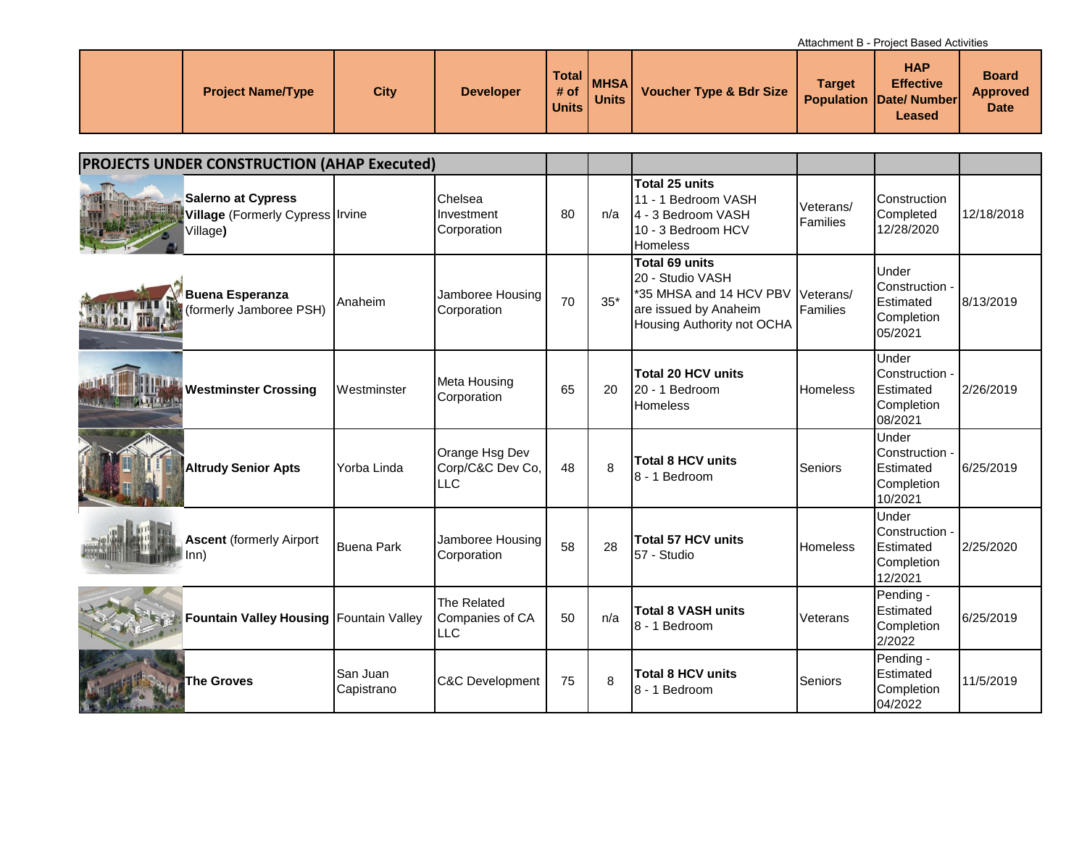Attachment B - Project Based Activities

| <b>Project Name/Type</b> | <b>City</b> | <b>Developer</b> | Total<br># of<br><b>Units</b> | <b>MHSA</b><br><b>Units</b> | <b>Voucher Type &amp; Bdr Size</b> | <b>Target</b> | <b>HAP</b><br><b>Effective</b><br><b>Population Date/Number</b><br>Leased | <b>Board</b><br><b>Approved</b><br><b>Date</b> |
|--------------------------|-------------|------------------|-------------------------------|-----------------------------|------------------------------------|---------------|---------------------------------------------------------------------------|------------------------------------------------|

| <b>PROJECTS UNDER CONSTRUCTION (AHAP Executed)</b>                        |                        |                                              |    |       |                                                                                                                      |                       |                                                               |            |
|---------------------------------------------------------------------------|------------------------|----------------------------------------------|----|-------|----------------------------------------------------------------------------------------------------------------------|-----------------------|---------------------------------------------------------------|------------|
| <b>Salerno at Cypress</b><br>Village (Formerly Cypress Irvine<br>Village) |                        | Chelsea<br>Investment<br>Corporation         | 80 | n/a   | Total 25 units<br>11 - 1 Bedroom VASH<br>4 - 3 Bedroom VASH<br>10 - 3 Bedroom HCV<br>Homeless                        | Veterans/<br>Families | <b>Construction</b><br>Completed<br>12/28/2020                | 12/18/2018 |
| <b>Buena Esperanza</b><br>(formerly Jamboree PSH)<br><b>Angle Tr</b>      | Anaheim                | Jamboree Housing<br>Corporation              | 70 | $35*$ | Total 69 units<br>20 - Studio VASH<br>*35 MHSA and 14 HCV PBV<br>are issued by Anaheim<br>Housing Authority not OCHA | Veterans/<br>Families | Under<br>Construction -<br>Estimated<br>Completion<br>05/2021 | 8/13/2019  |
| <b>Westminster Crossing</b>                                               | Westminster            | Meta Housing<br>Corporation                  | 65 | 20    | <b>Total 20 HCV units</b><br>20 - 1 Bedroom<br>Homeless                                                              | <b>Homeless</b>       | Under<br>Construction -<br>Estimated<br>Completion<br>08/2021 | 2/26/2019  |
| <b>Altrudy Senior Apts</b>                                                | Yorba Linda            | Orange Hsg Dev<br>Corp/C&C Dev Co,<br>LLC    | 48 | 8     | <b>Total 8 HCV units</b><br>8 - 1 Bedroom                                                                            | Seniors               | Under<br>Construction -<br>Estimated<br>Completion<br>10/2021 | 6/25/2019  |
| <b>Ascent (formerly Airport</b><br>lnn)                                   | <b>Buena Park</b>      | Jamboree Housing<br>Corporation              | 58 | 28    | <b>Total 57 HCV units</b><br>57 - Studio                                                                             | <b>Homeless</b>       | Under<br>Construction -<br>Estimated<br>Completion<br>12/2021 | 2/25/2020  |
| Fountain Valley Housing Fountain Valley                                   |                        | The Related<br>Companies of CA<br><b>LLC</b> | 50 | n/a   | <b>Total 8 VASH units</b><br>8 - 1 Bedroom                                                                           | Veterans              | Pending -<br>Estimated<br>Completion<br>2/2022                | 6/25/2019  |
| <b>The Groves</b>                                                         | San Juan<br>Capistrano | <b>C&amp;C Development</b>                   | 75 | 8     | <b>Total 8 HCV units</b><br>8 - 1 Bedroom                                                                            | Seniors               | Pending -<br>Estimated<br>Completion<br>04/2022               | 11/5/2019  |